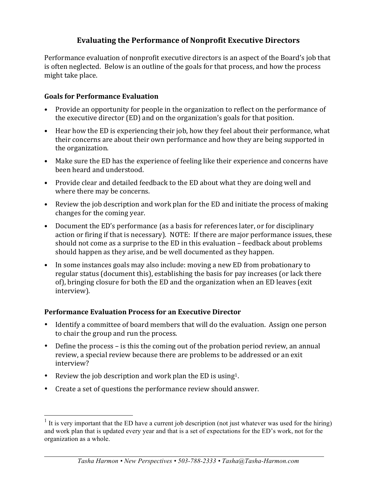# **Evaluating the Performance of Nonprofit Executive Directors**

Performance evaluation of nonprofit executive directors is an aspect of the Board's job that is often neglected. Below is an outline of the goals for that process, and how the process might take place.

#### **Goals for Performance Evaluation**

- Provide an opportunity for people in the organization to reflect on the performance of the executive director (ED) and on the organization's goals for that position.
- Hear how the ED is experiencing their job, how they feel about their performance, what their concerns are about their own performance and how they are being supported in the organization.
- Make sure the ED has the experience of feeling like their experience and concerns have been heard and understood.
- Provide clear and detailed feedback to the ED about what they are doing well and where there may be concerns.
- Review the job description and work plan for the ED and initiate the process of making changes for the coming year.
- Document the ED's performance (as a basis for references later, or for disciplinary action or firing if that is necessary). NOTE: If there are major performance issues, these should not come as a surprise to the ED in this evaluation  $-$  feedback about problems should happen as they arise, and be well documented as they happen.
- In some instances goals may also include: moving a new ED from probationary to regular status (document this), establishing the basis for pay increases (or lack there of), bringing closure for both the ED and the organization when an ED leaves (exit interview).

#### **Performance Evaluation Process for an Executive Director**

- Identify a committee of board members that will do the evaluation. Assign one person to chair the group and run the process.
- Define the process is this the coming out of the probation period review, an annual review, a special review because there are problems to be addressed or an exit interview?
- Review the job description and work plan the ED is using<sup>1</sup>.
- Create a set of questions the performance review should answer.

<sup>&</sup>lt;sup>1</sup> It is very important that the ED have a current job description (not just whatever was used for the hiring) and work plan that is updated every year and that is a set of expectations for the ED's work, not for the organization as a whole.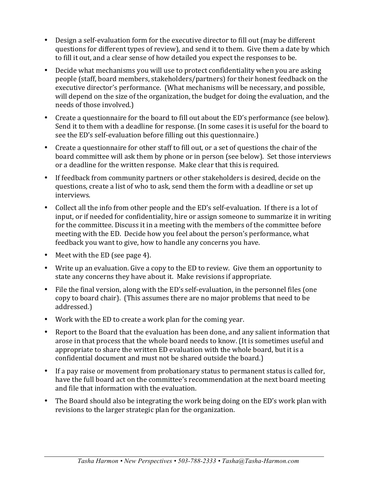- Design a self-evaluation form for the executive director to fill out (may be different questions for different types of review), and send it to them. Give them a date by which to fill it out, and a clear sense of how detailed you expect the responses to be.
- Decide what mechanisms you will use to protect confidentiality when you are asking people (staff, board members, stakeholders/partners) for their honest feedback on the executive director's performance. (What mechanisms will be necessary, and possible, will depend on the size of the organization, the budget for doing the evaluation, and the needs of those involved.)
- Create a questionnaire for the board to fill out about the ED's performance (see below). Send it to them with a deadline for response. (In some cases it is useful for the board to see the ED's self-evaluation before filling out this questionnaire.)
- Create a questionnaire for other staff to fill out, or a set of questions the chair of the board committee will ask them by phone or in person (see below). Set those interviews or a deadline for the written response. Make clear that this is required.
- If feedback from community partners or other stakeholders is desired, decide on the questions, create a list of who to ask, send them the form with a deadline or set up interviews.
- Collect all the info from other people and the ED's self-evaluation. If there is a lot of input, or if needed for confidentiality, hire or assign someone to summarize it in writing for the committee. Discuss it in a meeting with the members of the committee before meeting with the ED. Decide how you feel about the person's performance, what feedback you want to give, how to handle any concerns you have.
- Meet with the ED (see page 4).
- Write up an evaluation. Give a copy to the ED to review. Give them an opportunity to state any concerns they have about it. Make revisions if appropriate.
- File the final version, along with the ED's self-evaluation, in the personnel files (one copy to board chair). (This assumes there are no major problems that need to be addressed.)
- Work with the ED to create a work plan for the coming year.
- Report to the Board that the evaluation has been done, and any salient information that arose in that process that the whole board needs to know. (It is sometimes useful and appropriate to share the written ED evaluation with the whole board, but it is a confidential document and must not be shared outside the board.)
- If a pay raise or movement from probationary status to permanent status is called for, have the full board act on the committee's recommendation at the next board meeting and file that information with the evaluation.
- The Board should also be integrating the work being doing on the ED's work plan with revisions to the larger strategic plan for the organization.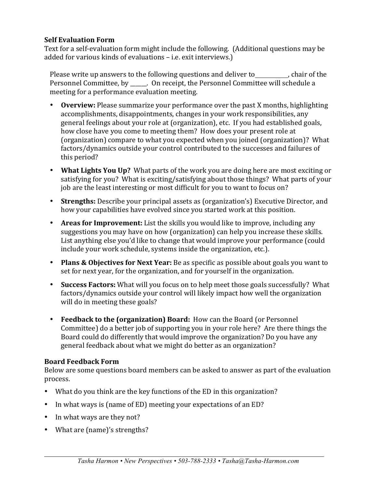### **Self Evaluation Form**

Text for a self-evaluation form might include the following. (Additional questions may be added for various kinds of evaluations - i.e. exit interviews.)

Please write up answers to the following questions and deliver to ending chair of the Personnel Committee, by \_\_\_\_\_. On receipt, the Personnel Committee will schedule a meeting for a performance evaluation meeting.

- **Overview:** Please summarize your performance over the past X months, highlighting accomplishments, disappointments, changes in your work responsibilities, any general feelings about your role at (organization), etc. If you had established goals, how close have you come to meeting them? How does your present role at (organization) compare to what you expected when you joined (organization)? What factors/dynamics outside your control contributed to the successes and failures of this period?
- What Lights You Up? What parts of the work you are doing here are most exciting or satisfying for you? What is exciting/satisfying about those things? What parts of your job are the least interesting or most difficult for you to want to focus on?
- **Strengths:** Describe your principal assets as (organization's) Executive Director, and how your capabilities have evolved since you started work at this position.
- Areas for Improvement: List the skills you would like to improve, including any suggestions you may have on how (organization) can help you increase these skills. List anything else you'd like to change that would improve your performance (could include your work schedule, systems inside the organization, etc.).
- **Plans & Objectives for Next Year:** Be as specific as possible about goals you want to set for next year, for the organization, and for yourself in the organization.
- **Success Factors:** What will you focus on to help meet those goals successfully? What factors/dynamics outside your control will likely impact how well the organization will do in meeting these goals?
- **Feedback to the (organization) Board:** How can the Board (or Personnel Committee) do a better job of supporting you in your role here? Are there things the Board could do differently that would improve the organization? Do you have any general feedback about what we might do better as an organization?

## **Board Feedback Form**

Below are some questions board members can be asked to answer as part of the evaluation process.

- What do you think are the key functions of the ED in this organization?
- In what ways is (name of ED) meeting your expectations of an ED?
- In what ways are they not?
- What are (name)'s strengths?